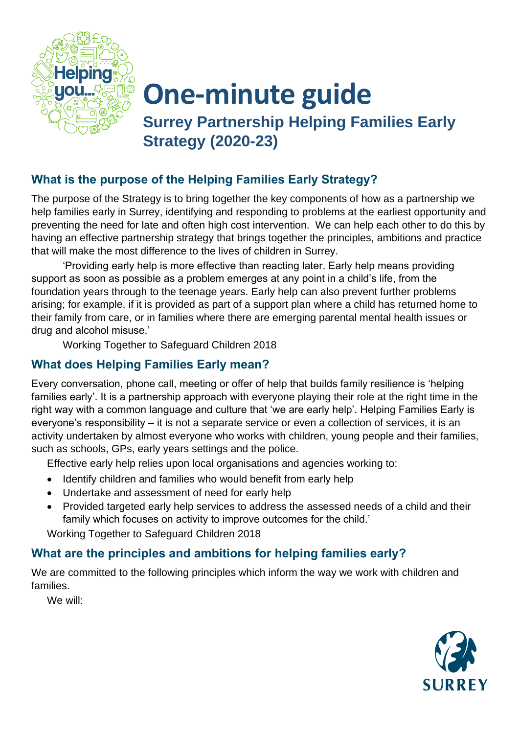

## **One-minute guide**

**Surrey Partnership Helping Families Early Strategy (2020-23)**

### **What is the purpose of the Helping Families Early Strategy?**

The purpose of the Strategy is to bring together the key components of how as a partnership we help families early in Surrey, identifying and responding to problems at the earliest opportunity and preventing the need for late and often high cost intervention. We can help each other to do this by having an effective partnership strategy that brings together the principles, ambitions and practice that will make the most difference to the lives of children in Surrey.

'Providing early help is more effective than reacting later. Early help means providing support as soon as possible as a problem emerges at any point in a child's life, from the foundation years through to the teenage years. Early help can also prevent further problems arising; for example, if it is provided as part of a support plan where a child has returned home to their family from care, or in families where there are emerging parental mental health issues or drug and alcohol misuse.'

Working Together to Safeguard Children 2018

#### **What does Helping Families Early mean?**

Every conversation, phone call, meeting or offer of help that builds family resilience is 'helping families early'. It is a partnership approach with everyone playing their role at the right time in the right way with a common language and culture that 'we are early help'. Helping Families Early is everyone's responsibility – it is not a separate service or even a collection of services, it is an activity undertaken by almost everyone who works with children, young people and their families, such as schools, GPs, early years settings and the police.

Effective early help relies upon local organisations and agencies working to:

- Identify children and families who would benefit from early help
- Undertake and assessment of need for early help
- Provided targeted early help services to address the assessed needs of a child and their family which focuses on activity to improve outcomes for the child.'

Working Together to Safeguard Children 2018

#### **What are the principles and ambitions for helping families early?**

We are committed to the following principles which inform the way we work with children and families.

We will: